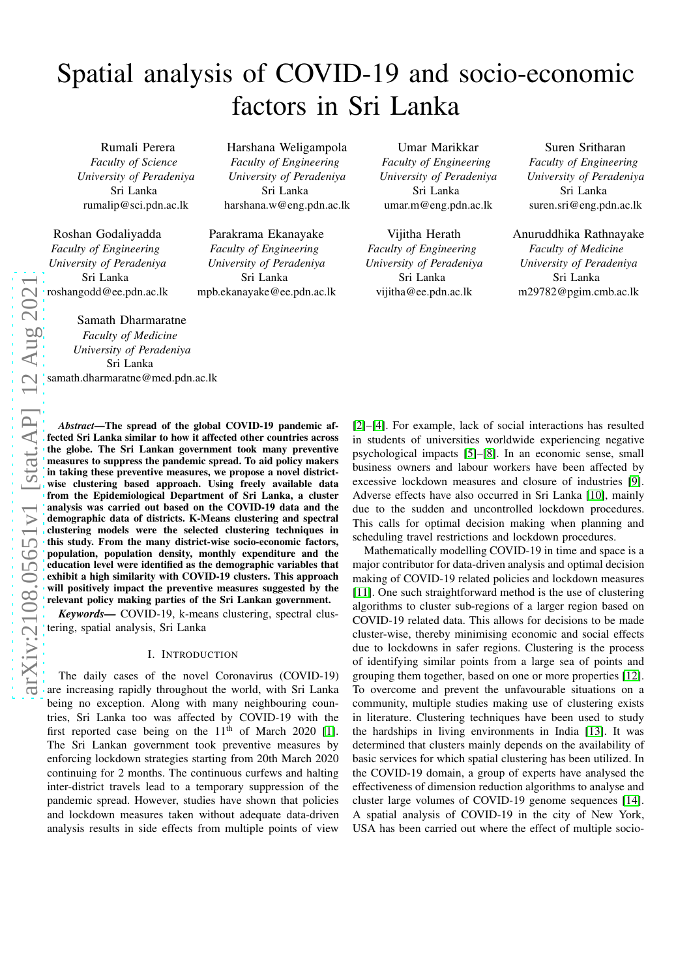# Spatial analysis of COVID-19 and socio-economic factors in Sri Lanka

Rumali Perera *Faculty of Science University of Peradeniya* Sri Lanka rumalip@sci.pdn.ac.lk

Roshan Godaliyadda *Faculty of Engineering University of Peradeniya* Sri Lanka roshangodd@ee.pdn.ac.lk

Samath Dharmaratne

*Faculty of Medicine University of Peradeniya* Sri Lanka samath.dharmaratne@med.pdn.ac.lk

*Abstract*—The spread of the global COVID-19 pandemic affected Sri Lanka similar to how it affected other countries across the globe. The Sri Lankan government took many preventive measures to suppress the pandemic spread. To aid policy makers in taking these preventive measures, we propose a novel districtwise clustering based approach. Using freely available data from the Epidemiological Department of Sri Lanka, a cluster analysis was carried out based on the COVID-19 data and the demographic data of districts. K-Means clustering and spectral clustering models were the selected clustering techniques in this study. From the many district-wise socio-economic factors, population, population density, monthly expenditure and the education level were identified as the demographic variables that exhibit a high similarity with COVID-19 clusters. This approach will positively impact the preventive measures suggested by the relevant policy making parties of the Sri Lankan government.

*Keywords—* COVID-19, k-means clustering, spectral clustering, spatial analysis, Sri Lanka

## I. INTRODUCTION

The daily cases of the novel Coronavirus (COVID-19) are increasing rapidly throughout the world, with Sri Lanka being no exception. Along with many neighbouring countries, Sri Lanka too was affected by COVID-19 with the first reported case being on the  $11<sup>th</sup>$  of March 2020 [\[1\]](#page-5-0). The Sri Lankan government took preventive measures by enforcing lockdown strategies starting from 20th March 2020 continuing for 2 months. The continuous curfews and halting inter-district travels lead to a temporary suppression of the pandemic spread. However, studies have shown that policies and lockdown measures taken without adequate data-driven analysis results in side effects from multiple points of view

Harshana Weligampola *Faculty of Engineering University of Peradeniya* Sri Lanka harshana.w@eng.pdn.ac.lk

Parakrama Ekanayake *Faculty of Engineering University of Peradeniya* Sri Lanka mpb.ekanayake@ee.pdn.ac.lk

Umar Marikkar *Faculty of Engineering University of Peradeniya* Sri Lanka umar.m@eng.pdn.ac.lk

Vijitha Herath *Faculty of Engineering University of Peradeniya* Sri Lanka vijitha@ee.pdn.ac.lk

Suren Sritharan *Faculty of Engineering University of Peradeniya* Sri Lanka suren.sri@eng.pdn.ac.lk

Anuruddhika Rathnayake *Faculty of Medicine University of Peradeniya* Sri Lanka m29782@pgim.cmb.ac.lk

[\[2\]](#page-5-1)–[\[4\]](#page-5-2). For example, lack of social interactions has resulted in students of universities worldwide experiencing negative psychological impacts [\[5\]](#page-5-3)–[\[8\]](#page-5-4). In an economic sense, small business owners and labour workers have been affected by excessive lockdown measures and closure of industries [\[9\]](#page-5-5). Adverse effects have also occurred in Sri Lanka [\[10\]](#page-5-6), mainly due to the sudden and uncontrolled lockdown procedures. This calls for optimal decision making when planning and scheduling travel restrictions and lockdown procedures.

Mathematically modelling COVID-19 in time and space is a major contributor for data-driven analysis and optimal decision making of COVID-19 related policies and lockdown measures [\[11\]](#page-5-7). One such straightforward method is the use of clustering algorithms to cluster sub-regions of a larger region based on COVID-19 related data. This allows for decisions to be made cluster-wise, thereby minimising economic and social effects due to lockdowns in safer regions. Clustering is the process of identifying similar points from a large sea of points and grouping them together, based on one or more properties [\[12\]](#page-5-8). To overcome and prevent the unfavourable situations on a community, multiple studies making use of clustering exists in literature. Clustering techniques have been used to study the hardships in living environments in India [\[13\]](#page-5-9). It was determined that clusters mainly depends on the availability of basic services for which spatial clustering has been utilized. In the COVID-19 domain, a group of experts have analysed the effectiveness of dimension reduction algorithms to analyse and cluster large volumes of COVID-19 genome sequences [\[14\]](#page-5-10). A spatial analysis of COVID-19 in the city of New York, USA has been carried out where the effect of multiple socio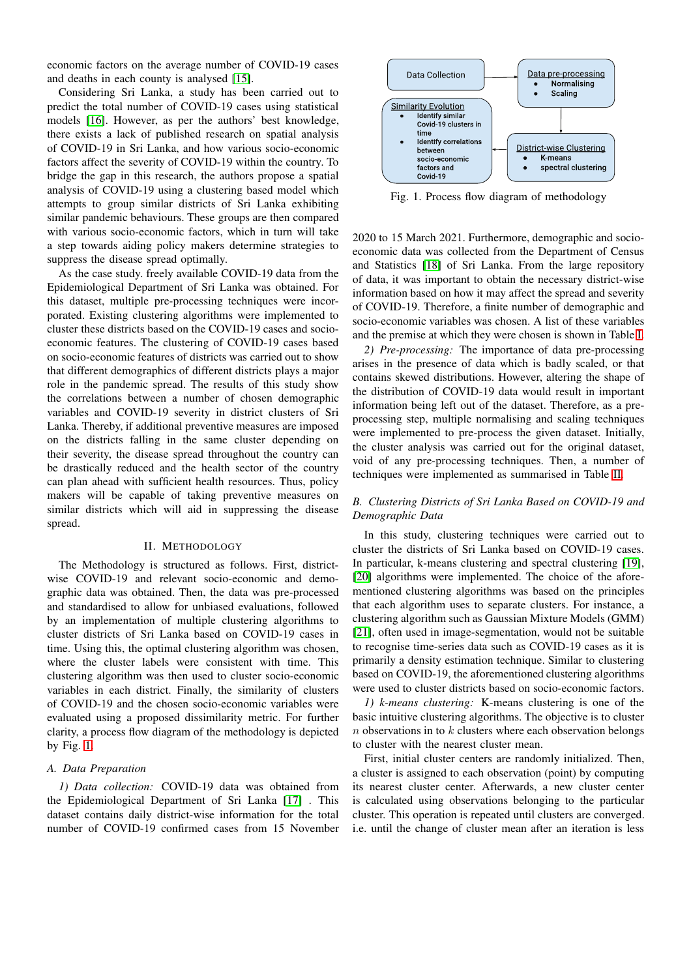economic factors on the average number of COVID-19 cases and deaths in each county is analysed [\[15\]](#page-5-11).

Considering Sri Lanka, a study has been carried out to predict the total number of COVID-19 cases using statistical models [\[16\]](#page-5-12). However, as per the authors' best knowledge, there exists a lack of published research on spatial analysis of COVID-19 in Sri Lanka, and how various socio-economic factors affect the severity of COVID-19 within the country. To bridge the gap in this research, the authors propose a spatial analysis of COVID-19 using a clustering based model which attempts to group similar districts of Sri Lanka exhibiting similar pandemic behaviours. These groups are then compared with various socio-economic factors, which in turn will take a step towards aiding policy makers determine strategies to suppress the disease spread optimally.

As the case study. freely available COVID-19 data from the Epidemiological Department of Sri Lanka was obtained. For this dataset, multiple pre-processing techniques were incorporated. Existing clustering algorithms were implemented to cluster these districts based on the COVID-19 cases and socioeconomic features. The clustering of COVID-19 cases based on socio-economic features of districts was carried out to show that different demographics of different districts plays a major role in the pandemic spread. The results of this study show the correlations between a number of chosen demographic variables and COVID-19 severity in district clusters of Sri Lanka. Thereby, if additional preventive measures are imposed on the districts falling in the same cluster depending on their severity, the disease spread throughout the country can be drastically reduced and the health sector of the country can plan ahead with sufficient health resources. Thus, policy makers will be capable of taking preventive measures on similar districts which will aid in suppressing the disease spread.

#### II. METHODOLOGY

The Methodology is structured as follows. First, districtwise COVID-19 and relevant socio-economic and demographic data was obtained. Then, the data was pre-processed and standardised to allow for unbiased evaluations, followed by an implementation of multiple clustering algorithms to cluster districts of Sri Lanka based on COVID-19 cases in time. Using this, the optimal clustering algorithm was chosen, where the cluster labels were consistent with time. This clustering algorithm was then used to cluster socio-economic variables in each district. Finally, the similarity of clusters of COVID-19 and the chosen socio-economic variables were evaluated using a proposed dissimilarity metric. For further clarity, a process flow diagram of the methodology is depicted by Fig. [1.](#page-1-0)

## <span id="page-1-2"></span>*A. Data Preparation*

*1) Data collection:* COVID-19 data was obtained from the Epidemiological Department of Sri Lanka [\[17\]](#page-5-13) . This dataset contains daily district-wise information for the total number of COVID-19 confirmed cases from 15 November

<span id="page-1-0"></span>

Fig. 1. Process flow diagram of methodology

2020 to 15 March 2021. Furthermore, demographic and socioeconomic data was collected from the Department of Census and Statistics [\[18\]](#page-5-14) of Sri Lanka. From the large repository of data, it was important to obtain the necessary district-wise information based on how it may affect the spread and severity of COVID-19. Therefore, a finite number of demographic and socio-economic variables was chosen. A list of these variables and the premise at which they were chosen is shown in Table [I.](#page-2-0)

*2) Pre-processing:* The importance of data pre-processing arises in the presence of data which is badly scaled, or that contains skewed distributions. However, altering the shape of the distribution of COVID-19 data would result in important information being left out of the dataset. Therefore, as a preprocessing step, multiple normalising and scaling techniques were implemented to pre-process the given dataset. Initially, the cluster analysis was carried out for the original dataset, void of any pre-processing techniques. Then, a number of techniques were implemented as summarised in Table [II.](#page-2-1)

# <span id="page-1-1"></span>*B. Clustering Districts of Sri Lanka Based on COVID-19 and Demographic Data*

In this study, clustering techniques were carried out to cluster the districts of Sri Lanka based on COVID-19 cases. In particular, k-means clustering and spectral clustering [\[19\]](#page-5-15), [\[20\]](#page-5-16) algorithms were implemented. The choice of the aforementioned clustering algorithms was based on the principles that each algorithm uses to separate clusters. For instance, a clustering algorithm such as Gaussian Mixture Models (GMM) [\[21\]](#page-5-17), often used in image-segmentation, would not be suitable to recognise time-series data such as COVID-19 cases as it is primarily a density estimation technique. Similar to clustering based on COVID-19, the aforementioned clustering algorithms were used to cluster districts based on socio-economic factors.

*1) k-means clustering:* K-means clustering is one of the basic intuitive clustering algorithms. The objective is to cluster  $n$  observations in to  $k$  clusters where each observation belongs to cluster with the nearest cluster mean.

First, initial cluster centers are randomly initialized. Then, a cluster is assigned to each observation (point) by computing its nearest cluster center. Afterwards, a new cluster center is calculated using observations belonging to the particular cluster. This operation is repeated until clusters are converged. i.e. until the change of cluster mean after an iteration is less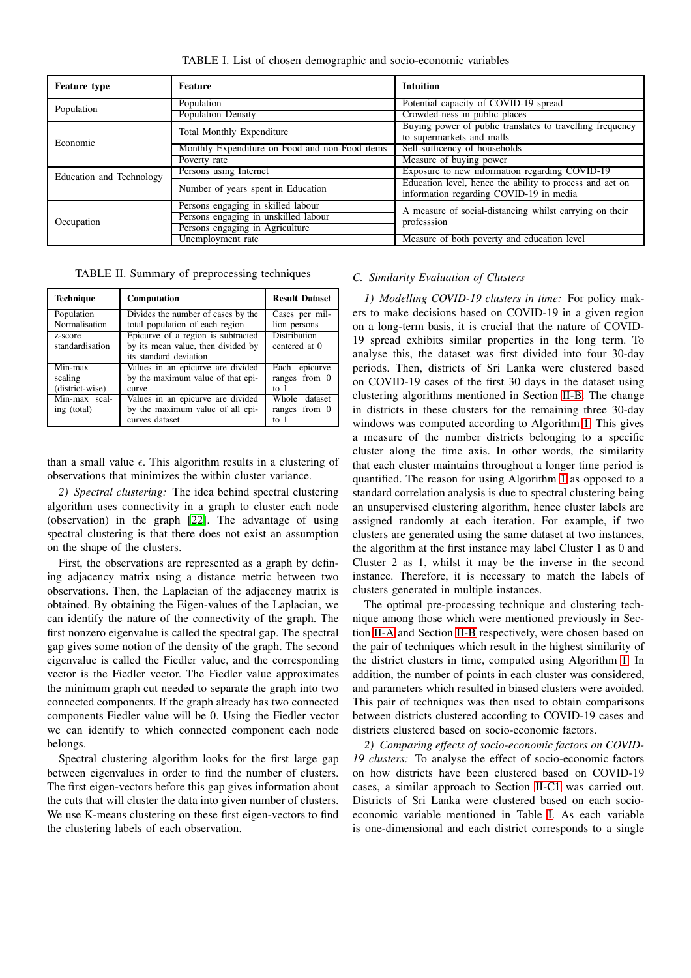<span id="page-2-0"></span>

| <b>Feature type</b>      | <b>Feature</b>                                 | <b>Intuition</b>                                                                                    |  |
|--------------------------|------------------------------------------------|-----------------------------------------------------------------------------------------------------|--|
| Population               | Population                                     | Potential capacity of COVID-19 spread                                                               |  |
|                          | <b>Population Density</b>                      | Crowded-ness in public places                                                                       |  |
| Economic                 | <b>Total Monthly Expenditure</b>               | Buying power of public translates to travelling frequency                                           |  |
|                          |                                                | to supermarkets and malls                                                                           |  |
|                          | Monthly Expenditure on Food and non-Food items | Self-sufficency of households                                                                       |  |
|                          | Poverty rate                                   | Measure of buying power                                                                             |  |
| Education and Technology | Persons using Internet                         | Exposure to new information regarding COVID-19                                                      |  |
|                          | Number of years spent in Education             | Education level, hence the ability to process and act on<br>information regarding COVID-19 in media |  |
| Occupation               | Persons engaging in skilled labour             | A measure of social-distancing whilst carrying on their<br>profession                               |  |
|                          | Persons engaging in unskilled labour           |                                                                                                     |  |
|                          | Persons engaging in Agriculture                |                                                                                                     |  |
|                          | Unemployment rate                              | Measure of both poverty and education level                                                         |  |

TABLE I. List of chosen demographic and socio-economic variables

<span id="page-2-1"></span>TABLE II. Summary of preprocessing techniques

| <b>Technique</b>                      | <b>Computation</b>                                                                                 | <b>Result Dataset</b>                     |
|---------------------------------------|----------------------------------------------------------------------------------------------------|-------------------------------------------|
| Population<br>Normalisation           | Divides the number of cases by the<br>total population of each region                              | Cases per mil-<br>lion persons            |
| z-score<br>standardisation            | Epicurve of a region is subtracted<br>by its mean value, then divided by<br>its standard deviation | <b>Distribution</b><br>centered at 0      |
| Min-max<br>scaling<br>(district-wise) | Values in an epicurve are divided<br>by the maximum value of that epi-<br>curve                    | epicurve<br>Each<br>ranges from 0<br>to 1 |
| Min-max scal-<br>ing (total)          | Values in an epicurve are divided<br>by the maximum value of all epi-<br>curves dataset.           | Whole dataset<br>ranges from 0<br>to 1    |

than a small value  $\epsilon$ . This algorithm results in a clustering of observations that minimizes the within cluster variance.

*2) Spectral clustering:* The idea behind spectral clustering algorithm uses connectivity in a graph to cluster each node (observation) in the graph [\[22\]](#page-5-18). The advantage of using spectral clustering is that there does not exist an assumption on the shape of the clusters.

First, the observations are represented as a graph by defining adjacency matrix using a distance metric between two observations. Then, the Laplacian of the adjacency matrix is obtained. By obtaining the Eigen-values of the Laplacian, we can identify the nature of the connectivity of the graph. The first nonzero eigenvalue is called the spectral gap. The spectral gap gives some notion of the density of the graph. The second eigenvalue is called the Fiedler value, and the corresponding vector is the Fiedler vector. The Fiedler value approximates the minimum graph cut needed to separate the graph into two connected components. If the graph already has two connected components Fiedler value will be 0. Using the Fiedler vector we can identify to which connected component each node belongs.

Spectral clustering algorithm looks for the first large gap between eigenvalues in order to find the number of clusters. The first eigen-vectors before this gap gives information about the cuts that will cluster the data into given number of clusters. We use K-means clustering on these first eigen-vectors to find the clustering labels of each observation.

## <span id="page-2-2"></span>*C. Similarity Evaluation of Clusters*

*1) Modelling COVID-19 clusters in time:* For policy makers to make decisions based on COVID-19 in a given region on a long-term basis, it is crucial that the nature of COVID-19 spread exhibits similar properties in the long term. To analyse this, the dataset was first divided into four 30-day periods. Then, districts of Sri Lanka were clustered based on COVID-19 cases of the first 30 days in the dataset using clustering algorithms mentioned in Section [II-B.](#page-1-1) The change in districts in these clusters for the remaining three 30-day windows was computed according to Algorithm [1.](#page-3-0) This gives a measure of the number districts belonging to a specific cluster along the time axis. In other words, the similarity that each cluster maintains throughout a longer time period is quantified. The reason for using Algorithm [1](#page-3-0) as opposed to a standard correlation analysis is due to spectral clustering being an unsupervised clustering algorithm, hence cluster labels are assigned randomly at each iteration. For example, if two clusters are generated using the same dataset at two instances, the algorithm at the first instance may label Cluster 1 as 0 and Cluster 2 as 1, whilst it may be the inverse in the second instance. Therefore, it is necessary to match the labels of clusters generated in multiple instances.

The optimal pre-processing technique and clustering technique among those which were mentioned previously in Section [II-A](#page-1-2) and Section [II-B](#page-1-1) respectively, were chosen based on the pair of techniques which result in the highest similarity of the district clusters in time, computed using Algorithm [1.](#page-3-0) In addition, the number of points in each cluster was considered, and parameters which resulted in biased clusters were avoided. This pair of techniques was then used to obtain comparisons between districts clustered according to COVID-19 cases and districts clustered based on socio-economic factors.

*2) Comparing effects of socio-economic factors on COVID-19 clusters:* To analyse the effect of socio-economic factors on how districts have been clustered based on COVID-19 cases, a similar approach to Section [II-C1](#page-2-2) was carried out. Districts of Sri Lanka were clustered based on each socioeconomic variable mentioned in Table [I.](#page-2-0) As each variable is one-dimensional and each district corresponds to a single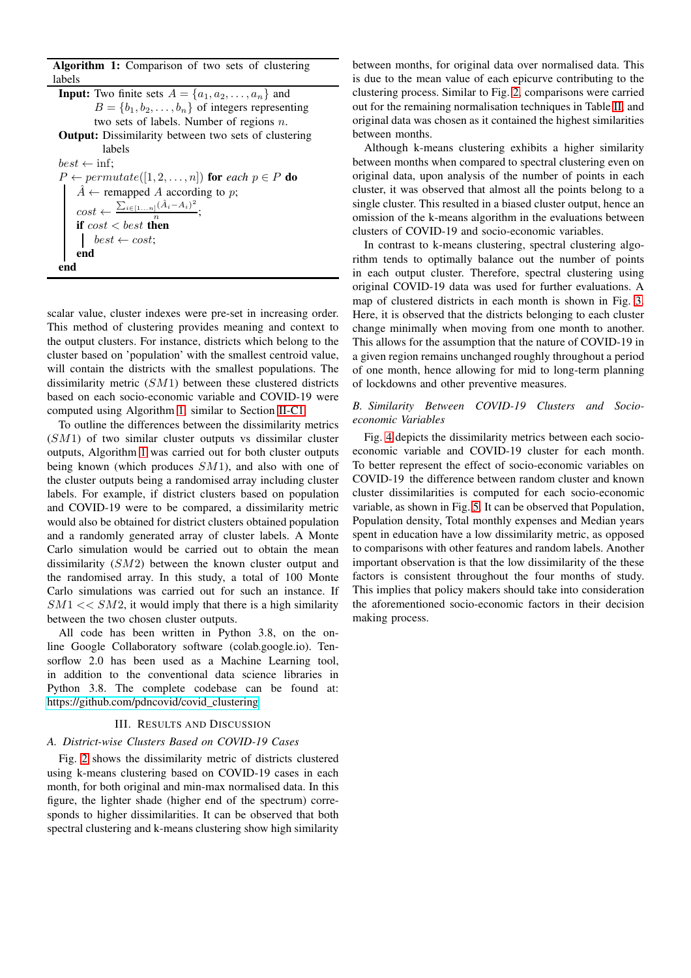Algorithm 1: Comparison of two sets of clustering labels

<span id="page-3-0"></span>**Input:** Two finite sets  $A = \{a_1, a_2, \ldots, a_n\}$  and  $B = \{b_1, b_2, \ldots, b_n\}$  of integers representing two sets of labels. Number of regions  $n$ . Output: Dissimilarity between two sets of clustering labels  $best \leftarrow \inf;$  $P \leftarrow permutate([1, 2, \ldots, n])$  for *each*  $p \in P$  do  $\hat{A} \leftarrow$  remapped A according to p;  $cost \leftarrow \frac{\sum_{i \in [1...n]} (\hat{A}_i - A_i)^2}{n}$  $\frac{1}{n}$ ; if  $cost < best$  then  $best \leftarrow cost$ ; end end

scalar value, cluster indexes were pre-set in increasing order. This method of clustering provides meaning and context to the output clusters. For instance, districts which belong to the cluster based on 'population' with the smallest centroid value, will contain the districts with the smallest populations. The dissimilarity metric  $(SM1)$  between these clustered districts based on each socio-economic variable and COVID-19 were computed using Algorithm [1,](#page-3-0) similar to Section [II-C1.](#page-2-2)

To outline the differences between the dissimilarity metrics (SM1) of two similar cluster outputs vs dissimilar cluster outputs, Algorithm [1](#page-3-0) was carried out for both cluster outputs being known (which produces  $SM1$ ), and also with one of the cluster outputs being a randomised array including cluster labels. For example, if district clusters based on population and COVID-19 were to be compared, a dissimilarity metric would also be obtained for district clusters obtained population and a randomly generated array of cluster labels. A Monte Carlo simulation would be carried out to obtain the mean dissimilarity (SM2) between the known cluster output and the randomised array. In this study, a total of 100 Monte Carlo simulations was carried out for such an instance. If  $SM1 \ll SM2$ , it would imply that there is a high similarity between the two chosen cluster outputs.

All code has been written in Python 3.8, on the online Google Collaboratory software (colab.google.io). Tensorflow 2.0 has been used as a Machine Learning tool, in addition to the conventional data science libraries in Python 3.8. The complete codebase can be found at: [https://github.com/pdncovid/covid\\_clustering.](https://github.com/pdncovid/covid_clustering)

### III. RESULTS AND DISCUSSION

## *A. District-wise Clusters Based on COVID-19 Cases*

Fig. [2](#page-4-0) shows the dissimilarity metric of districts clustered using k-means clustering based on COVID-19 cases in each month, for both original and min-max normalised data. In this figure, the lighter shade (higher end of the spectrum) corresponds to higher dissimilarities. It can be observed that both spectral clustering and k-means clustering show high similarity

between months, for original data over normalised data. This is due to the mean value of each epicurve contributing to the clustering process. Similar to Fig. [2,](#page-4-0) comparisons were carried out for the remaining normalisation techniques in Table [II,](#page-2-1) and original data was chosen as it contained the highest similarities between months.

Although k-means clustering exhibits a higher similarity between months when compared to spectral clustering even on original data, upon analysis of the number of points in each cluster, it was observed that almost all the points belong to a single cluster. This resulted in a biased cluster output, hence an omission of the k-means algorithm in the evaluations between clusters of COVID-19 and socio-economic variables.

In contrast to k-means clustering, spectral clustering algorithm tends to optimally balance out the number of points in each output cluster. Therefore, spectral clustering using original COVID-19 data was used for further evaluations. A map of clustered districts in each month is shown in Fig. [3.](#page-5-19) Here, it is observed that the districts belonging to each cluster change minimally when moving from one month to another. This allows for the assumption that the nature of COVID-19 in a given region remains unchanged roughly throughout a period of one month, hence allowing for mid to long-term planning of lockdowns and other preventive measures.

## *B. Similarity Between COVID-19 Clusters and Socioeconomic Variables*

Fig. [4](#page-4-1) depicts the dissimilarity metrics between each socioeconomic variable and COVID-19 cluster for each month. To better represent the effect of socio-economic variables on COVID-19 the difference between random cluster and known cluster dissimilarities is computed for each socio-economic variable, as shown in Fig. [5.](#page-4-2) It can be observed that Population, Population density, Total monthly expenses and Median years spent in education have a low dissimilarity metric, as opposed to comparisons with other features and random labels. Another important observation is that the low dissimilarity of the these factors is consistent throughout the four months of study. This implies that policy makers should take into consideration the aforementioned socio-economic factors in their decision making process.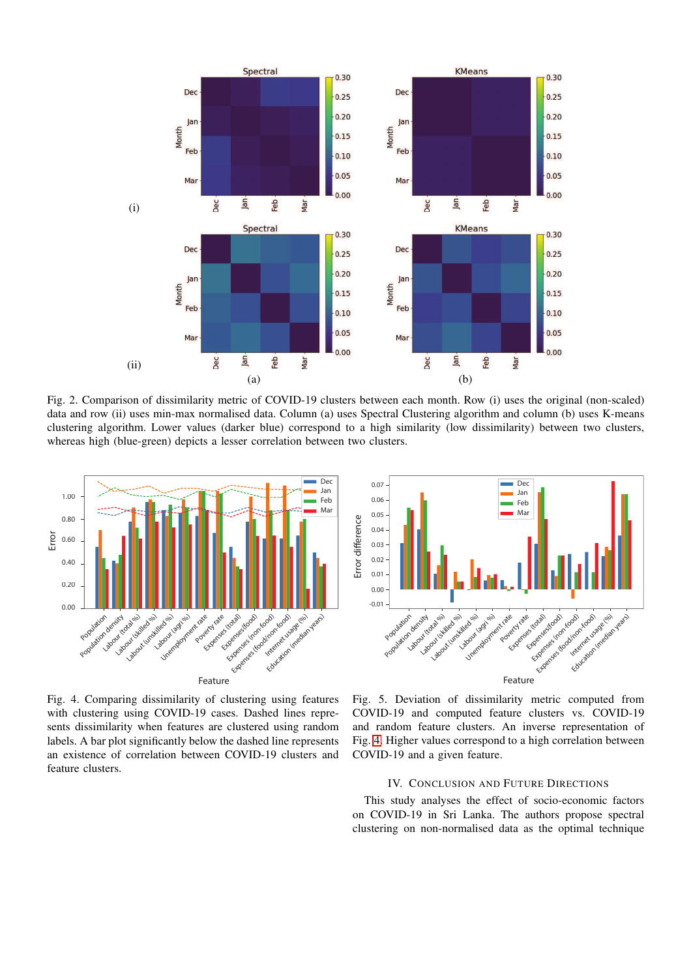<span id="page-4-0"></span>

Fig. 2. Comparison of dissimilarity metric of COVID-19 clusters between each month. Row (i) uses the original (non-scaled) data and row (ii) uses min-max normalised data. Column (a) uses Spectral Clustering algorithm and column (b) uses K-means clustering algorithm. Lower values (darker blue) correspond to a high similarity (low dissimilarity) between two clusters, whereas high (blue-green) depicts a lesser correlation between two clusters.

<span id="page-4-1"></span>

Fig. 4. Comparing dissimilarity of clustering using features with clustering using COVID-19 cases. Dashed lines represents dissimilarity when features are clustered using random labels. A bar plot significantly below the dashed line represents an existence of correlation between COVID-19 clusters and feature clusters.

<span id="page-4-2"></span>

Fig. 5. Deviation of dissimilarity metric computed from COVID-19 and computed feature clusters vs. COVID-19 and random feature clusters. An inverse representation of Fig. [4.](#page-4-1) Higher values correspond to a high correlation between COVID-19 and a given feature.

## IV. CONCLUSION AND FUTURE DIRECTIONS

This study analyses the effect of socio-economic factors on COVID-19 in Sri Lanka. The authors propose spectral clustering on non-normalised data as the optimal technique